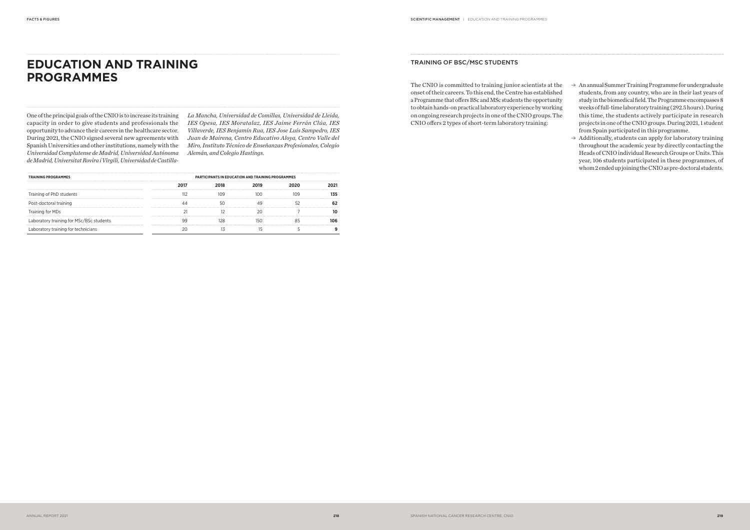The CNIO is committed to training junior scientists at the onset of their careers. To this end, the Centre has established a Programme that offers BSc and MSc students the opportunity to obtain hands-on practical laboratory experience by working on ongoing research projects in one of the CNIO groups. The CNIO offers 2 types of short-term laboratory training:

## TRAINING OF BSC/MSC STUDENTS

- $\rightarrow$  An annual Summer Training Programme for undergraduate students, from any country, who are in their last years of study in the biomedical field. The Programme encompasses 8 weeks of full-time laboratory training (292.5 hours). During this time, the students actively participate in research projects in one of the CNIO groups. During 2021, 1 student from Spain participated in this programme.
- $\rightarrow$  Additionally, students can apply for laboratory training throughout the academic year by directly contacting the Heads of CNIO individual Research Groups or Units. This year, 106 students participated in these programmes, of whom 2 ended up joining the CNIO as pre-doctoral students.

# **EDUCATION AND TRAINING PROGRAMMES**

One of the principal goals of the CNIO is to increase its training capacity in order to give students and professionals the opportunity to advance their careers in the healthcare sector. During 2021, the CNIO signed several new agreements with Spanish Universities and other institutions, namely with the *Universidad Complutense de Madrid, Universidad Autónoma de Madrid, Universitat Rovira i Virgili, Universidad de Castilla-* *La Mancha, Universidad de Comillas, Universidad de Lleida, IES Opesa, IES Moratalaz, IES Jaime Ferrán Clúa, IES Villaverde, IES Benjamín Rua, IES Jose Luis Sampedro, IES Juan de Mairena, Centro Educativo Aloya, Centro Valle del Miro, Instituto Técnico de Enseñanzas Profesionales, Colegio Alemán, and Colegio Hastings*.

| <b>TRAINING PROGRAMMES</b>               | <b>PARTICIPANTS IN EDUCATION AND TRAINING PROGRAMMES</b> |  |  |  |     |
|------------------------------------------|----------------------------------------------------------|--|--|--|-----|
|                                          |                                                          |  |  |  |     |
| Training of PhD students                 |                                                          |  |  |  |     |
| Post-doctoral training                   |                                                          |  |  |  |     |
| Training for MDs                         |                                                          |  |  |  |     |
| Laboratory training for MSc/BSc students |                                                          |  |  |  | កេក |
| Laboratory training for technicians      |                                                          |  |  |  |     |
|                                          |                                                          |  |  |  |     |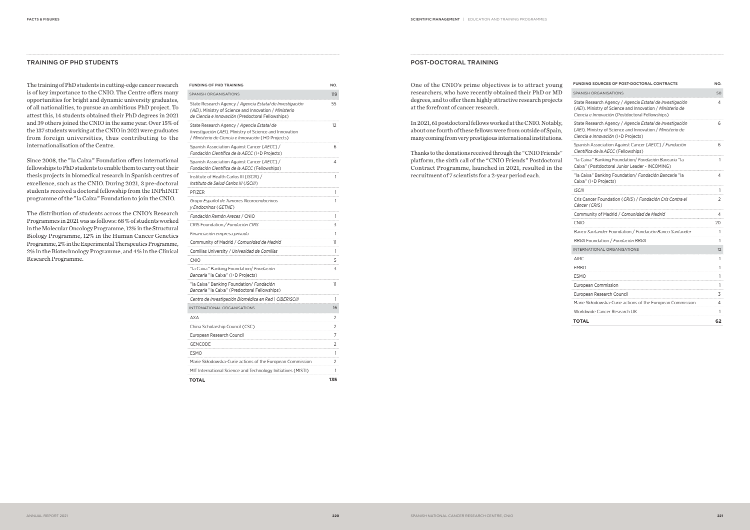#### POST-DOCTORAL TRAINING

One of the CNIO's prime objectives is to attract young researchers, who have recently obtained their PhD or MD degrees, and to offer them highly attractive research projects at the forefront of cancer research.

In 2021, 61 postdoctoral fellows worked at the CNIO. Notably, about one fourth of these fellows were from outside of Spain, many coming from very prestigious international institutions.

Thanks to the donations received through the " CNIO Friends " platform, the sixth call of the " CNIO Friends " Postdoctoral Contract Programme, launched in 2021, resulted in the recruitment of 7 scientists for a 2-year period each.

| FUNDING SOURCES OF POST-DOCTORAL CONTRACTS                                                                                                                               | NO. |
|--------------------------------------------------------------------------------------------------------------------------------------------------------------------------|-----|
| <b>SPANISH ORGANISATIONS</b>                                                                                                                                             | 50  |
| State Research Agency / Agencia Estatal de Investigación<br>(AEI). Ministry of Science and Innovation / Ministerio de<br>Ciencia e Innovación (Postdoctoral Fellowships) | 4   |
| State Research Agency / Agencia Estatal de Investigación<br>(AEI). Ministry of Science and Innovation / Ministerio de<br>Ciencia e Innovación (I+D Projects)             | 6   |
| Spanish Association Against Cancer (AECC) / Fundación<br>Científica de la AECC (Fellowships)                                                                             | 6   |
| "la Caixa" Banking Foundation/ Fundación Bancaria "la<br>Caixa" (Postdoctoral Junior Leader - INCOMING)                                                                  | 1   |
| "la Caixa" Banking Foundation/ Fundación Bancaria "la<br>Caixa" (I+D Projects)                                                                                           | 4   |
| <i>ISCIII</i>                                                                                                                                                            |     |
| Cris Cancer Foundation (CRIS) / Fundación Cris Contra el<br>Cáncer (CRIS)                                                                                                | 2   |
| Community of Madrid / Comunidad de Madrid                                                                                                                                | 4   |
| <b>CNIO</b>                                                                                                                                                              | 20  |
| Banco Santander Foundation / Fundación Banco Santander                                                                                                                   | 1   |
| BBVA Foundation / Fundación BBVA                                                                                                                                         | 1   |
| INTERNATIONAL ORGANISATIONS                                                                                                                                              | 12  |
| AIRC                                                                                                                                                                     | 1   |
| EMBO                                                                                                                                                                     | 1   |
| ESMO                                                                                                                                                                     | 1   |
| <b>European Commission</b>                                                                                                                                               | 1   |
| European Research Council                                                                                                                                                | 3   |
| Marie Skłodowska-Curie actions of the European Commission                                                                                                                | 4   |
| Worldwide Cancer Research UK                                                                                                                                             |     |
| TOTAL                                                                                                                                                                    | 62  |

## TRAINING OF PHD STUDENTS

The training of PhD students in cutting-edge cancer research is of key importance to the CNIO. The Centre offers many opportunities for bright and dynamic university graduates, of all nationalities, to pursue an ambitious PhD project. To attest this, 14 students obtained their PhD degrees in 2021 and 39 others joined the CNIO in the same year. Over 15% of the 137 students working at the CNIO in 2021 were graduates from foreign universities, thus contributing to the internationalisation of the Centre.

Since 2008, the " la Caixa " Foundation offers international fellowships to PhD students to enable them to carry out their thesis projects in biomedical research in Spanish centres of excellence, such as the CNIO. During 2021, 3 pre-doctoral students received a doctoral fellowship from the INPhINIT programme of the " la Caixa " Foundation to join the CNIO.

The distribution of students across the CNIO's Research Programmes in 2021 was as follows : 68 % of students worked in the Molecular Oncology Programme, 12% in the Structural Biology Programme, 12% in the Human Cancer Genetics Programme, 2% in the Experimental Therapeutics Programme, 2% in the Biotechnology Programme, and 4% in the Clinical Research Programme.

| <b>FUNDING OF PHD TRAINING</b>                                                                                                                                          | NO. |
|-------------------------------------------------------------------------------------------------------------------------------------------------------------------------|-----|
| <b>SPANISH ORGANISATIONS</b>                                                                                                                                            | 119 |
| State Research Agency / Agencia Estatal de Investigación<br>(AEI). Ministry of Science and Innovation / Ministerio<br>de Ciencia e Innovación (Predoctoral Fellowships) | 55  |
| State Research Agency / <i>Agencia Estatal de</i><br>Investigación (AEI). Ministry of Science and Innovation<br>/ Ministerio de Ciencia e Innovación (I+D Projects)     | 12  |
| Spanish Association Against Cancer (AECC) /<br>Fundación Científica de la AECC (I+D Projects)                                                                           | 6   |
| Spanish Association Against Cancer (AECC) /<br>Fundación Científica de la AECC (Fellowships)                                                                            | 4   |
| Institute of Health Carlos III (ISCIII) /<br>Instituto de Salud Carlos III (ISCIII)                                                                                     | 1   |
| PFIZER                                                                                                                                                                  | 1   |
| Grupo Español de Tumores Neuroendocrinos<br>y Endocrinos (GETNE)                                                                                                        | 1   |
| Fundación Ramón Areces / CNIO                                                                                                                                           | 1   |
| CRIS Foundation / Fundación CRIS                                                                                                                                        | 3   |
| Financiación empresa privada                                                                                                                                            | 1   |
| Community of Madrid / Comunidad de Madrid                                                                                                                               | 11  |
| Comillas University / Univesidad de Comillas                                                                                                                            | 1   |
| <b>CNIO</b>                                                                                                                                                             | 5   |
| "la Caixa" Banking Foundation/ Fundación<br>Bancaria "la Caixa" (I+D Projects)                                                                                          | 3   |
| "la Caixa" Banking Foundation/ Fundación<br>Bancaria "la Caixa" (Predoctoral Fellowships)                                                                               | 11  |
| Centro de Investigación Biomédica en Red   CIBERISCIII                                                                                                                  | 1   |
| INTERNATIONAL ORGANISATIONS                                                                                                                                             | 16  |
| <b>AXA</b>                                                                                                                                                              | 2   |
| China Scholarship Council (CSC)                                                                                                                                         | 2   |
| European Research Council                                                                                                                                               | 7   |
| <b>GENCODE</b>                                                                                                                                                          | 2   |
| <b>ESMO</b>                                                                                                                                                             | 1   |
| Marie Skłodowska-Curie actions of the European Commission                                                                                                               | 2   |
| MIT International Science and Technology Initiatives (MISTI)                                                                                                            | 1   |
| <b>TOTAL</b>                                                                                                                                                            | 135 |